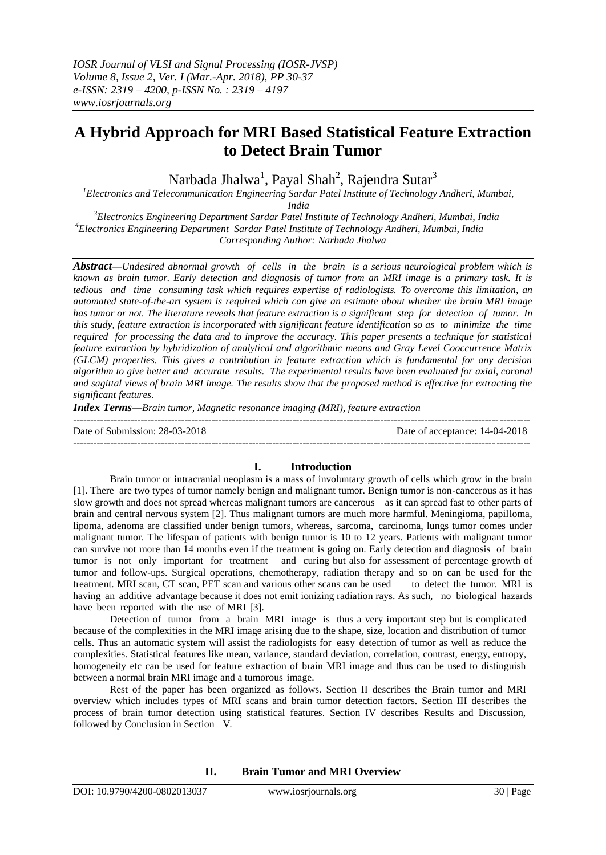# **A Hybrid Approach for MRI Based Statistical Feature Extraction to Detect Brain Tumor**

Narbada Jhalwa $^{\rm l}$ , Payal Shah $^{\rm 2}$ , Rajendra Sutar $^{\rm 3}$ 

*<sup>1</sup>Electronics and Telecommunication Engineering Sardar Patel Institute of Technology Andheri, Mumbai,* 

*India*

*<sup>3</sup>Electronics Engineering Department Sardar Patel Institute of Technology Andheri, Mumbai, India <sup>4</sup>Electronics Engineering Department Sardar Patel Institute of Technology Andheri, Mumbai, India Corresponding Author: Narbada Jhalwa*

*Abstract—Undesired abnormal growth of cells in the brain is a serious neurological problem which is known as brain tumor. Early detection and diagnosis of tumor from an MRI image is a primary task. It is tedious and time consuming task which requires expertise of radiologists. To overcome this limitation, an automated state-of-the-art system is required which can give an estimate about whether the brain MRI image has tumor or not. The literature reveals that feature extraction is a significant step for detection of tumor. In this study, feature extraction is incorporated with significant feature identification so as to minimize the time required for processing the data and to improve the accuracy. This paper presents a technique for statistical feature extraction by hybridization of analytical and algorithmic means and Gray Level Cooccurrence Matrix (GLCM) properties. This gives a contribution in feature extraction which is fundamental for any decision algorithm to give better and accurate results. The experimental results have been evaluated for axial, coronal and sagittal views of brain MRI image. The results show that the proposed method is effective for extracting the significant features.*

*Index Terms—Brain tumor, Magnetic resonance imaging (MRI), feature extraction*

---------------------------------------------------------------------------------------------------------------------------------------

 $-1.1$ 

Date of Submission: 28-03-2018 Date of acceptance: 14-04-2018

# **I. Introduction**

Brain tumor or intracranial neoplasm is a mass of involuntary growth of cells which grow in the brain [1]. There are two types of tumor namely benign and malignant tumor. Benign tumor is non-cancerous as it has slow growth and does not spread whereas malignant tumors are cancerous as it can spread fast to other parts of brain and central nervous system [2]. Thus malignant tumors are much more harmful. Meningioma, papilloma, lipoma, adenoma are classified under benign tumors, whereas, sarcoma, carcinoma, lungs tumor comes under malignant tumor. The lifespan of patients with benign tumor is 10 to 12 years. Patients with malignant tumor can survive not more than 14 months even if the treatment is going on. Early detection and diagnosis of brain tumor is not only important for treatment and curing but also for assessment of percentage growth of tumor and follow-ups. Surgical operations, chemotherapy, radiation therapy and so on can be used for the treatment. MRI scan, CT scan, PET scan and various other scans can be used to detect the tumor. MRI is having an additive advantage because it does not emit ionizing radiation rays. As such, no biological hazards have been reported with the use of MRI [3].

Detection of tumor from a brain MRI image is thus a very important step but is complicated because of the complexities in the MRI image arising due to the shape, size, location and distribution of tumor cells. Thus an automatic system will assist the radiologists for easy detection of tumor as well as reduce the complexities. Statistical features like mean, variance, standard deviation, correlation, contrast, energy, entropy, homogeneity etc can be used for feature extraction of brain MRI image and thus can be used to distinguish between a normal brain MRI image and a tumorous image.

Rest of the paper has been organized as follows. Section II describes the Brain tumor and MRI overview which includes types of MRI scans and brain tumor detection factors. Section III describes the process of brain tumor detection using statistical features. Section IV describes Results and Discussion, followed by Conclusion in Section V.

**II. Brain Tumor and MRI Overview**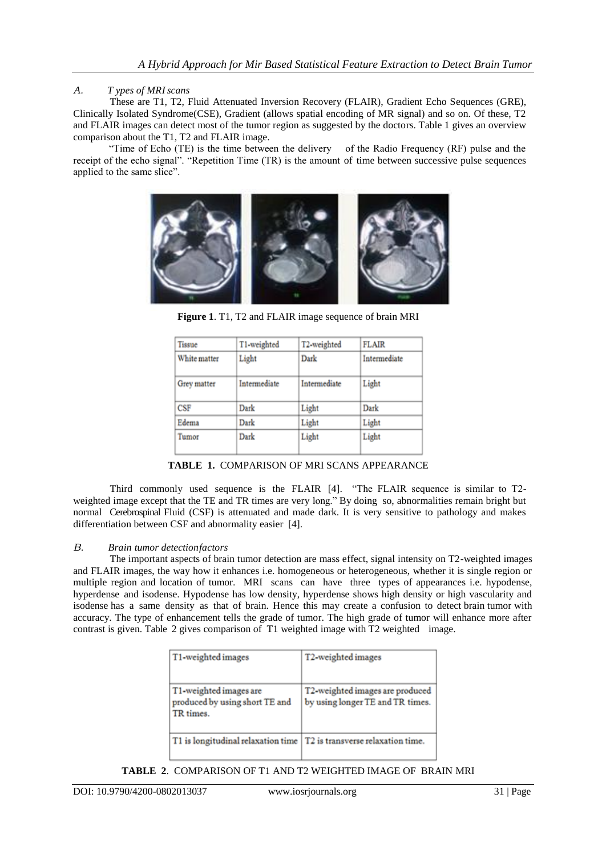### *A. T ypes of MRIscans*

These are T1, T2, Fluid Attenuated Inversion Recovery (FLAIR), Gradient Echo Sequences (GRE), Clinically Isolated Syndrome(CSE), Gradient (allows spatial encoding of MR signal) and so on. Of these, T2 and FLAIR images can detect most of the tumor region as suggested by the doctors. Table 1 gives an overview comparison about the T1, T2 and FLAIR image.

 "Time of Echo (TE) is the time between the delivery of the Radio Frequency (RF) pulse and the receipt of the echo signal". "Repetition Time (TR) is the amount of time between successive pulse sequences applied to the same slice".



**Figure 1**. T1, T2 and FLAIR image sequence of brain MRI

| <b>Tissue</b> | T1-weighted  | T2-weighted  | <b>FLAIR</b> |
|---------------|--------------|--------------|--------------|
| White matter  | Light        | Dark         | Intermediate |
| Grey matter   | Intermediate | Intermediate | Light        |
| CSF           | Dark         | Light        | Dark         |
| Edema         | Dark         | Light        | Light        |
| Tumor         | Dark         | Light        | Light        |

**TABLE 1.** COMPARISON OF MRI SCANS APPEARANCE

Third commonly used sequence is the FLAIR [4]. "The FLAIR sequence is similar to T2 weighted image except that the TE and TR times are very long." By doing so, abnormalities remain bright but normal Cerebrospinal Fluid (CSF) is attenuated and made dark. It is very sensitive to pathology and makes differentiation between CSF and abnormality easier [4].

### *B. Brain tumor detectionfactors*

The important aspects of brain tumor detection are mass effect, signal intensity on T2-weighted images and FLAIR images, the way how it enhances i.e. homogeneous or heterogeneous, whether it is single region or multiple region and location of tumor. MRI scans can have three types of appearances i.e. hypodense, hyperdense and isodense. Hypodense has low density, hyperdense shows high density or high vascularity and isodense has a same density as that of brain. Hence this may create a confusion to detect brain tumor with accuracy. The type of enhancement tells the grade of tumor. The high grade of tumor will enhance more after contrast is given. Table 2 gives comparison of T1 weighted image with T2 weighted image.

| T1-weighted images                                                     | T2-weighted images                                                  |
|------------------------------------------------------------------------|---------------------------------------------------------------------|
| T1-weighted images are<br>produced by using short TE and<br>TR times.  | T2-weighted images are produced<br>by using longer TE and TR times. |
| T1 is longitudinal relaxation time   T2 is transverse relaxation time. |                                                                     |

### **TABLE 2**. COMPARISON OF T1 AND T2 WEIGHTED IMAGE OF BRAIN MRI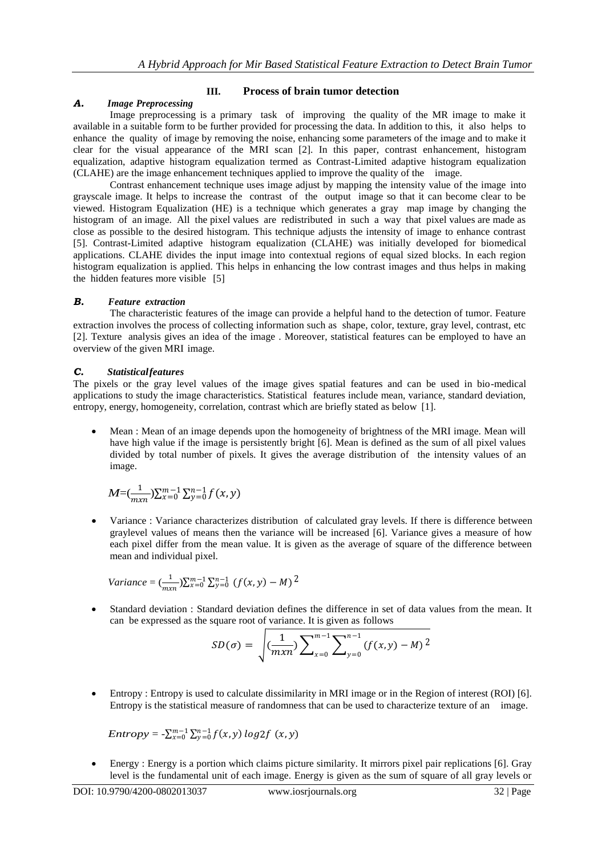### **III. Process of brain tumor detection** *A. Image Preprocessing*

Image preprocessing is a primary task of improving the quality of the MR image to make it available in a suitable form to be further provided for processing the data. In addition to this, it also helps to enhance the quality of image by removing the noise, enhancing some parameters of the image and to make it clear for the visual appearance of the MRI scan [2]. In this paper, contrast enhancement, histogram equalization, adaptive histogram equalization termed as Contrast-Limited adaptive histogram equalization (CLAHE) are the image enhancement techniques applied to improve the quality of the image.

Contrast enhancement technique uses image adjust by mapping the intensity value of the image into grayscale image. It helps to increase the contrast of the output image so that it can become clear to be viewed. Histogram Equalization (HE) is a technique which generates a gray map image by changing the histogram of an image. All the pixel values are redistributed in such a way that pixel values are made as close as possible to the desired histogram. This technique adjusts the intensity of image to enhance contrast [5]. Contrast-Limited adaptive histogram equalization (CLAHE) was initially developed for biomedical applications. CLAHE divides the input image into contextual regions of equal sized blocks. In each region histogram equalization is applied. This helps in enhancing the low contrast images and thus helps in making the hidden features more visible [5]

# *B. Feature extraction*

The characteristic features of the image can provide a helpful hand to the detection of tumor. Feature extraction involves the process of collecting information such as shape, color, texture, gray level, contrast, etc [2]. Texture analysis gives an idea of the image . Moreover, statistical features can be employed to have an overview of the given MRI image.

# *C. Statisticalfeatures*

The pixels or the gray level values of the image gives spatial features and can be used in bio-medical applications to study the image characteristics. Statistical features include mean, variance, standard deviation, entropy, energy, homogeneity, correlation, contrast which are briefly stated as below [1].

 Mean : Mean of an image depends upon the homogeneity of brightness of the MRI image. Mean will have high value if the image is persistently bright [6]. Mean is defined as the sum of all pixel values divided by total number of pixels. It gives the average distribution of the intensity values of an image.

$$
M = (\frac{1}{m x n}) \sum_{x=0}^{m-1} \sum_{y=0}^{n-1} f(x, y)
$$

 Variance : Variance characterizes distribution of calculated gray levels. If there is difference between graylevel values of means then the variance will be increased [6]. Variance gives a measure of how each pixel differ from the mean value. It is given as the average of square of the difference between mean and individual pixel.

Variance = 
$$
(\frac{1}{mxn})\sum_{x=0}^{m-1}\sum_{y=0}^{n-1} (f(x,y) - M)^2
$$

 Standard deviation : Standard deviation defines the difference in set of data values from the mean. It can be expressed as the square root of variance. It is given as follows

$$
SD(\sigma) = \sqrt{\left(\frac{1}{mxn}\right)\sum_{x=0}^{m-1}\sum_{y=0}^{n-1}(f(x,y)-M)^2}
$$

 Entropy : Entropy is used to calculate dissimilarity in MRI image or in the Region of interest (ROI) [6]. Entropy is the statistical measure of randomness that can be used to characterize texture of an image.

$$
Entropy = -\sum_{x=0}^{m-1} \sum_{y=0}^{n-1} f(x, y) \log 2f(x, y)
$$

 Energy : Energy is a portion which claims picture similarity. It mirrors pixel pair replications [6]. Gray level is the fundamental unit of each image. Energy is given as the sum of square of all gray levels or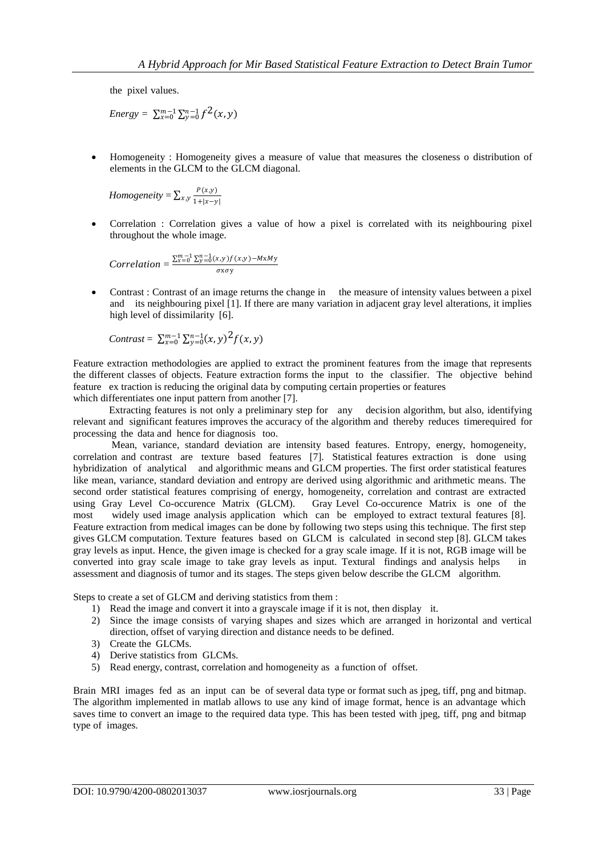the pixel values.

*Energy* =  $\sum_{x=0}^{m-1} \sum_{y=0}^{n-1} f^2(x, y)$ 

 Homogeneity : Homogeneity gives a measure of value that measures the closeness o distribution of elements in the GLCM to the GLCM diagonal.

*Homogeneity* =  $\sum_{x,y} \frac{P(x,y)}{1+y}$  $x,y$ <sub>1+| $x-y$ |</sub>

> Correlation : Correlation gives a value of how a pixel is correlated with its neighbouring pixel throughout the whole image.

$$
Correlation = \frac{\sum_{x=0}^{m-1} \sum_{y=0}^{n-1} (x,y) f(x,y) - MxMy}{\sigma x \sigma y}
$$

• Contrast : Contrast of an image returns the change in the measure of intensity values between a pixel and its neighbouring pixel [1]. If there are many variation in adjacent gray level alterations, it implies high level of dissimilarity [6].

$$
Contrast = \sum_{x=0}^{m-1} \sum_{y=0}^{n-1} (x, y)^2 f(x, y)
$$

Feature extraction methodologies are applied to extract the prominent features from the image that represents the different classes of objects. Feature extraction forms the input to the classifier. The objective behind feature ex traction is reducing the original data by computing certain properties or features which differentiates one input pattern from another [7].

 Extracting features is not only a preliminary step for any decision algorithm, but also, identifying relevant and significant features improves the accuracy of the algorithm and thereby reduces timerequired for processing the data and hence for diagnosis too.

 Mean, variance, standard deviation are intensity based features. Entropy, energy, homogeneity, correlation and contrast are texture based features [7]. Statistical features extraction is done using hybridization of analytical and algorithmic means and GLCM properties. The first order statistical features like mean, variance, standard deviation and entropy are derived using algorithmic and arithmetic means. The second order statistical features comprising of energy, homogeneity, correlation and contrast are extracted using Gray Level Co-occurence Matrix (GLCM). Gray Level Co-occurence Matrix is one of the most widely used image analysis application which can be employed to extract textural features [8]. Feature extraction from medical images can be done by following two steps using this technique. The first step gives GLCM computation. Texture features based on GLCM is calculated in second step [8]. GLCM takes gray levels as input. Hence, the given image is checked for a gray scale image. If it is not, RGB image will be converted into gray scale image to take gray levels as input. Textural findings and analysis helps in assessment and diagnosis of tumor and its stages. The steps given below describe the GLCM algorithm.

Steps to create a set of GLCM and deriving statistics from them :

- 1) Read the image and convert it into a grayscale image if it is not, then display it.
- 2) Since the image consists of varying shapes and sizes which are arranged in horizontal and vertical direction, offset of varying direction and distance needs to be defined.
- 3) Create the GLCMs.
- 4) Derive statistics from GLCMs.
- 5) Read energy, contrast, correlation and homogeneity as a function of offset.

Brain MRI images fed as an input can be of several data type or format such as jpeg, tiff, png and bitmap. The algorithm implemented in matlab allows to use any kind of image format, hence is an advantage which saves time to convert an image to the required data type. This has been tested with jpeg, tiff, png and bitmap type of images.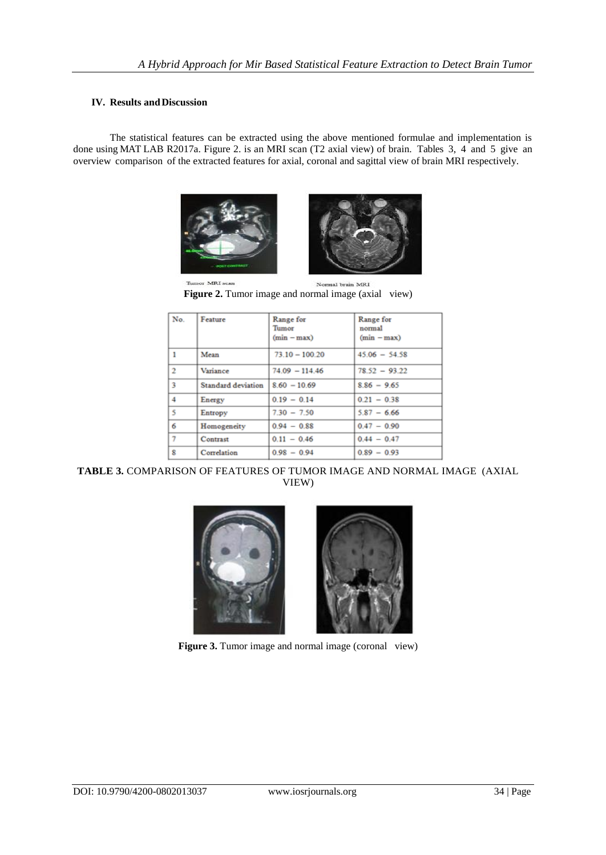### **IV. Results andDiscussion**

The statistical features can be extracted using the above mentioned formulae and implementation is done using MAT LAB R2017a. Figure 2. is an MRI scan (T2 axial view) of brain. Tables 3, 4 and 5 give an overview comparison of the extracted features for axial, coronal and sagittal view of brain MRI respectively.





Tumor MRI scan Normal brain MRI Figure 2. Tumor image and normal image (axial view)

| No.            | Feature                   | Range for<br>Tumor<br>$(min - max)$ | Range for<br>normal<br>$(min - max)$ |
|----------------|---------------------------|-------------------------------------|--------------------------------------|
| 1              | Mean                      | $73.10 - 100.20$                    | $45.06 - 54.58$                      |
| $\overline{2}$ | Variance                  | $74.09 - 114.46$                    | $78.52 - 93.22$                      |
| 3              | <b>Standard deviation</b> | $8.60 - 10.69$                      | $8.86 - 9.65$                        |
| 4              | Energy                    | $0.19 - 0.14$                       | $0.21 - 0.38$                        |
| 5              | Entropy                   | $7.30 - 7.50$                       | $5.87 - 6.66$                        |
| 6              | Homogeneity               | $0.94 - 0.88$                       | $0.47 - 0.90$                        |
| 7              | Contrast                  | $0.11 - 0.46$                       | $0.44 - 0.47$                        |
| 8              | Correlation               | $0.98 - 0.94$                       | $0.89 - 0.93$                        |

**TABLE 3.** COMPARISON OF FEATURES OF TUMOR IMAGE AND NORMAL IMAGE (AXIAL VIEW)





**Figure 3.** Tumor image and normal image (coronal view)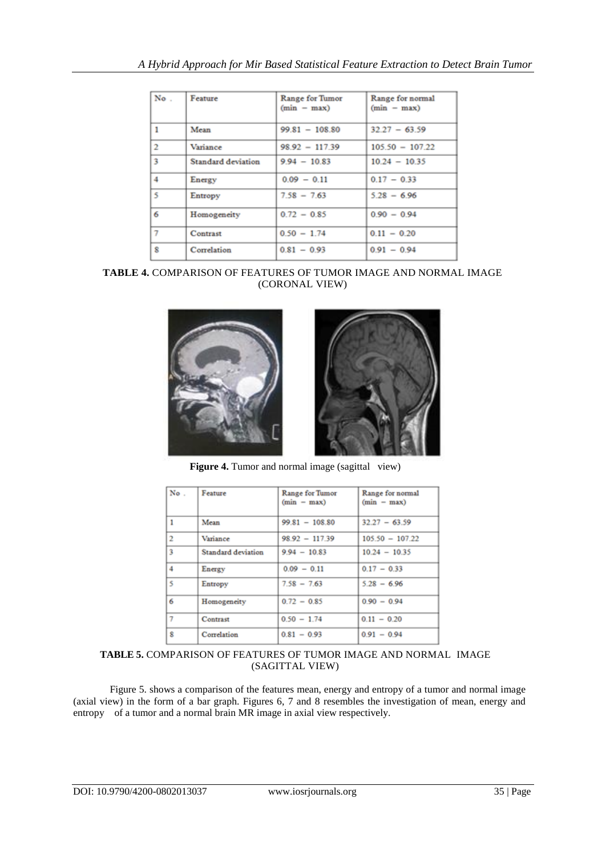| No. | Feature            | Range for Tumor<br>$(min - max)$ | Range for normal<br>$(min - max)$ |
|-----|--------------------|----------------------------------|-----------------------------------|
| ı   | Mean               | $99.81 - 108.80$                 | $32.27 - 63.59$                   |
| 2   | Variance           | $98.92 - 117.39$                 | $105.50 - 107.22$                 |
| 3   | Standard deviation | $9.94 - 10.83$                   | $10.24 - 10.35$                   |
| 4   | Energy             | $0.09 - 0.11$                    | $0.17 - 0.33$                     |
| 5   | Entropy            | $7.58 - 7.63$                    | $5.28 - 6.96$                     |
| 6   | Homogeneity        | $0.72 - 0.85$                    | $0.90 - 0.94$                     |
| 7   | Contrast           | $0.50 - 1.74$                    | $0.11 - 0.20$                     |
| 8   | Correlation        | $0.81 - 0.93$                    | $0.91 - 0.94$                     |

**TABLE 4.** COMPARISON OF FEATURES OF TUMOR IMAGE AND NORMAL IMAGE (CORONAL VIEW)



**Figure 4.** Tumor and normal image (sagittal view)

| No.            | Feature            | Range for Tumor<br>$(min - max)$ | Range for normal<br>$(min - max)$ |
|----------------|--------------------|----------------------------------|-----------------------------------|
| 1              | Mean               | $99.81 - 108.80$                 | $32.27 - 63.59$                   |
| $\overline{2}$ | Variance           | $98.92 - 117.39$                 | $105.50 - 107.22$                 |
| 3              | Standard deviation | $9.94 - 10.83$                   | $10.24 - 10.35$                   |
| 4              | Energy             | $0.09 - 0.11$                    | $0.17 - 0.33$                     |
| 5              | Entropy            | $7.58 - 7.63$                    | $5.28 - 6.96$                     |
| 6              | Homogeneity        | $0.72 - 0.85$                    | $0.90 - 0.94$                     |
| 7              | Contrast           | $0.50 - 1.74$                    | $0.11 - 0.20$                     |
| 8              | Correlation        | $0.81 - 0.93$                    | $0.91 - 0.94$                     |

**TABLE 5.** COMPARISON OF FEATURES OF TUMOR IMAGE AND NORMAL IMAGE (SAGITTAL VIEW)

Figure 5. shows a comparison of the features mean, energy and entropy of a tumor and normal image (axial view) in the form of a bar graph. Figures 6, 7 and 8 resembles the investigation of mean, energy and entropy of a tumor and a normal brain MR image in axial view respectively.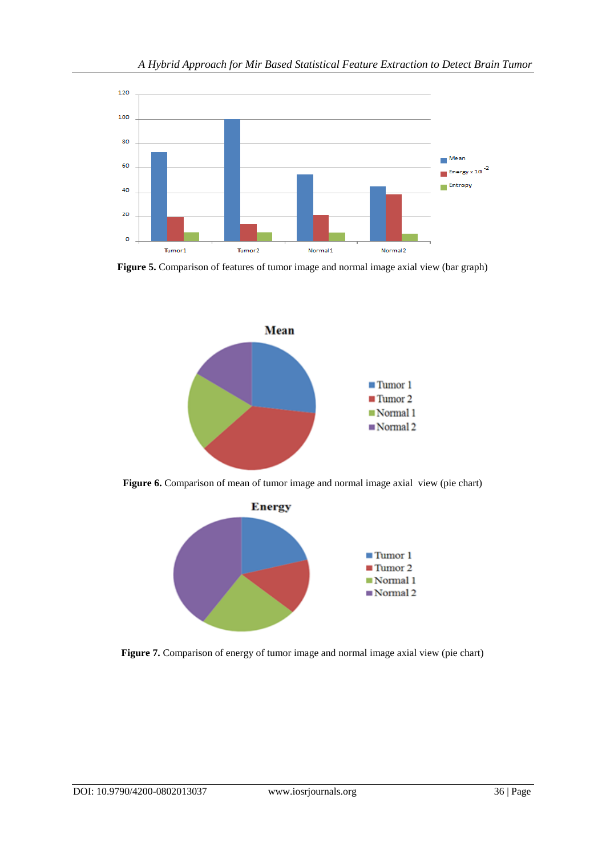

**Figure 5.** Comparison of features of tumor image and normal image axial view (bar graph)



**Figure 6.** Comparison of mean of tumor image and normal image axial view (pie chart)



**Figure 7.** Comparison of energy of tumor image and normal image axial view (pie chart)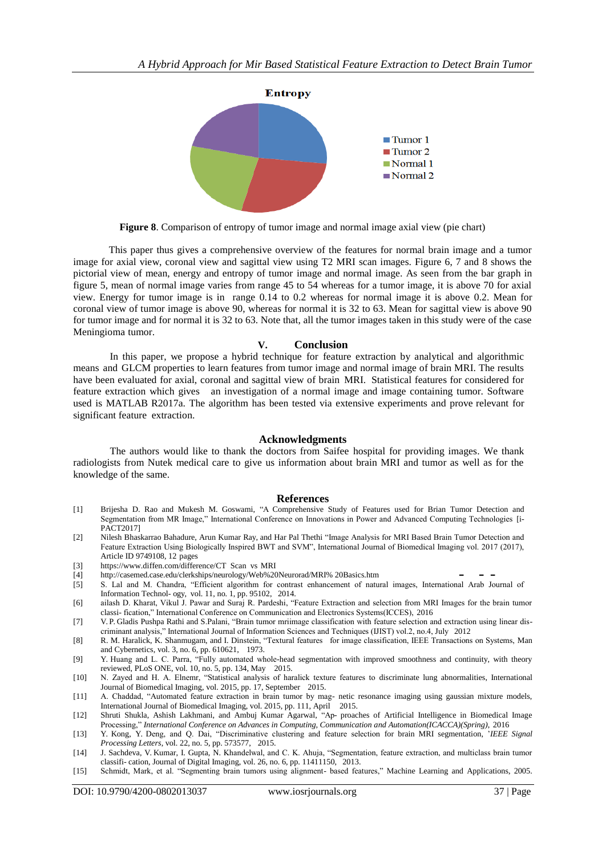

**Figure 8**. Comparison of entropy of tumor image and normal image axial view (pie chart)

 This paper thus gives a comprehensive overview of the features for normal brain image and a tumor image for axial view, coronal view and sagittal view using T2 MRI scan images. Figure 6, 7 and 8 shows the pictorial view of mean, energy and entropy of tumor image and normal image. As seen from the bar graph in figure 5, mean of normal image varies from range 45 to 54 whereas for a tumor image, it is above 70 for axial view. Energy for tumor image is in range 0.14 to 0.2 whereas for normal image it is above 0.2. Mean for coronal view of tumor image is above 90, whereas for normal it is 32 to 63. Mean for sagittal view is above 90 for tumor image and for normal it is 32 to 63. Note that, all the tumor images taken in this study were of the case Meningioma tumor.

#### **V. Conclusion**

In this paper, we propose a hybrid technique for feature extraction by analytical and algorithmic means and GLCM properties to learn features from tumor image and normal image of brain MRI. The results have been evaluated for axial, coronal and sagittal view of brain MRI. Statistical features for considered for feature extraction which gives an investigation of a normal image and image containing tumor. Software used is MATLAB R2017a. The algorithm has been tested via extensive experiments and prove relevant for significant feature extraction.

### **Acknowledgments**

The authors would like to thank the doctors from Saifee hospital for providing images. We thank radiologists from Nutek medical care to give us information about brain MRI and tumor as well as for the knowledge of the same.

#### **References**

- [1] Brijesha D. Rao and Mukesh M. Goswami, "A Comprehensive Study of Features used for Brian Tumor Detection and Segmentation from MR Image," International Conference on Innovations in Power and Advanced Computing Technologies [i-PACT2017]
- [2] Nilesh Bhaskarrao Bahadure, Arun Kumar Ray, and Har Pal Thethi "Image Analysis for MRI Based Brain Tumor Detection and Feature Extraction Using Biologically Inspired BWT and SVM", International Journal of Biomedical Imaging vol. 2017 (2017), Article ID 9749108, 12 pages
- [3] [https://www.d](http://www.diffen.com/difference/CT)i[ffen.com/difference/CT](http://www.diffen.com/difference/CT) Scan vs MRI
- [4] [http://casemed.case.edu/clerkships/neurology/Web%20Neurorad/MRI%](http://casemed.case.edu/clerkships/neurology/Web%20Neurorad/MRI%25) 20Basics.htm
- [5] S. Lal and M. Chandra, "Efficient algorithm for contrast enhancement of natural images, International Arab Journal of Information Technol- ogy, vol. 11, no. 1, pp. 95102, 2014.
- [6] ailash D. Kharat, Vikul J. Pawar and Suraj R. Pardeshi, "Feature Extraction and selection from MRI Images for the brain tumor classi- fication," International Conference on Communication and Electronics Systems(ICCES), 2016
- [7] V. P. Gladis Pushpa Rathi and S.Palani, "Brain tumor mriimage classification with feature selection and extraction using linear discriminant analysis," International Journal of Information Sciences and Techniques (IJIST) vol.2, no.4, July 2012
- [8] R. M. Haralick, K. Shanmugam, and I. Dinstein, "Textural features for image classification, IEEE Transactions on Systems, Man and Cybernetics, vol. 3, no. 6, pp. 610621, 1973.
- [9] Y. Huang and L. C. Parra, "Fully automated whole-head segmentation with improved smoothness and continuity, with theory reviewed, PLoS ONE, vol. 10, no. 5, pp. 134, May 2015.
- [10] N. Zayed and H. A. Elnemr, "Statistical analysis of haralick texture features to discriminate lung abnormalities, International Journal of Biomedical Imaging, vol. 2015, pp. 17, September 2015.
- [11] A. Chaddad, "Automated feature extraction in brain tumor by mag- netic resonance imaging using gaussian mixture models, International Journal of Biomedical Imaging, vol. 2015, pp. 111, April 2015.
- [12] Shruti Shukla, Ashish Lakhmani, and Ambuj Kumar Agarwal, "Ap- proaches of Artificial Intelligence in Biomedical Image Processing," *International Conference on Advances in Computing, Communication and Automation(ICACCA)(Spring)*, 2016
- [13] Y. Kong, Y. Deng, and Q. Dai, "Discriminative clustering and feature selection for brain MRI segmentation, '*IEEE Signal Processing Letters*, vol. 22, no. 5, pp. 573577, 2015.
- [14] J. Sachdeva, V. Kumar, I. Gupta, N. Khandelwal, and C. K. Ahuja, "Segmentation, feature extraction, and multiclass brain tumor classifi- cation, Journal of Digital Imaging, vol. 26, no. 6, pp. 11411150, 2013.
- [15] Schmidt, Mark, et al. "Segmenting brain tumors using alignment- based features," Machine Learning and Applications, 2005.